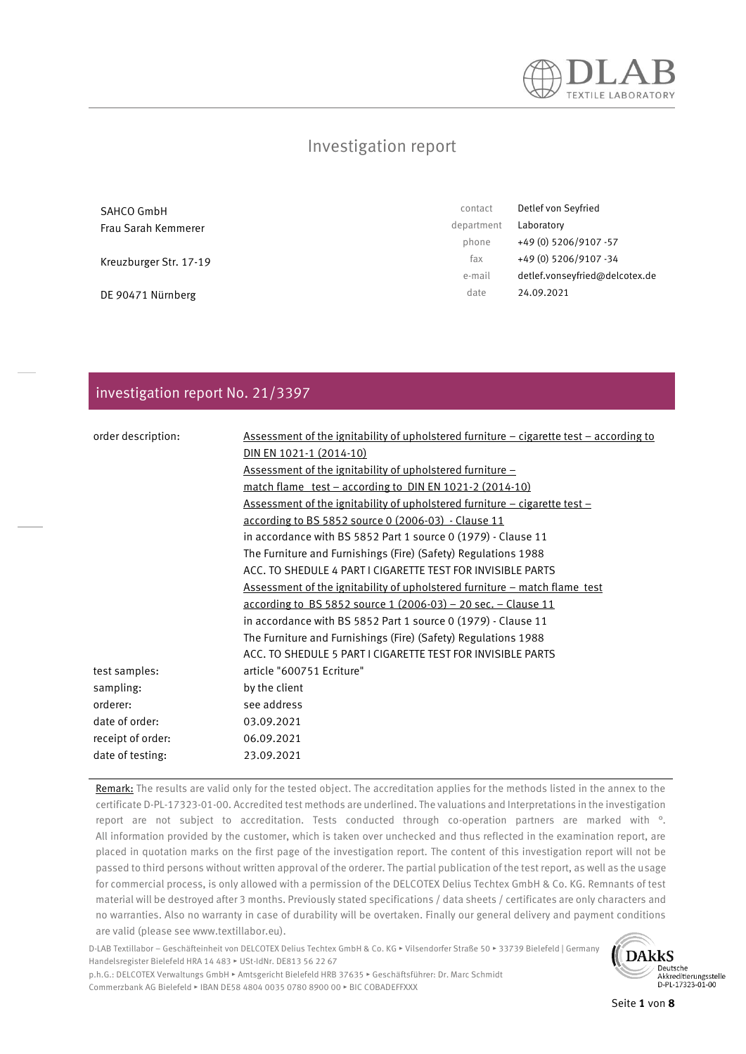

### Investigation report

| SAHCO GmbH             | contact    | Detlef von Seyfried            |
|------------------------|------------|--------------------------------|
| Frau Sarah Kemmerer    | department | Laboratory                     |
|                        | phone      | +49 (0) 5206/9107 -57          |
| Kreuzburger Str. 17-19 | fax        | +49 (0) 5206/9107 -34          |
|                        | e-mail     | detlef.vonseyfried@delcotex.de |
| DE 90471 Nürnberg      | date       | 24.09.2021                     |

### investigation report No. 21/3397

| order description: | Assessment of the ignitability of upholstered furniture - cigarette test - according to |
|--------------------|-----------------------------------------------------------------------------------------|
|                    | DIN EN 1021-1 (2014-10)                                                                 |
|                    | <u>Assessment of the ignitability of upholstered furniture –</u>                        |
|                    | <u>match flame test – according to DIN EN 1021-2 (2014-10)</u>                          |
|                    | <u>Assessment of the ignitability of upholstered furniture – cigarette test –</u>       |
|                    | <u>according to BS 5852 source 0 (2006-03) - Clause 11</u>                              |
|                    | in accordance with BS 5852 Part 1 source 0 (1979) - Clause 11                           |
|                    | The Furniture and Furnishings (Fire) (Safety) Regulations 1988                          |
|                    | ACC. TO SHEDULE 4 PART I CIGARETTE TEST FOR INVISIBLE PARTS                             |
|                    | Assessment of the ignitability of upholstered furniture - match flame test              |
|                    | <u>according to BS 5852 source 1 (2006-03) – 20 sec. – Clause 11</u>                    |
|                    | in accordance with BS 5852 Part 1 source 0 (1979) - Clause 11                           |
|                    | The Furniture and Furnishings (Fire) (Safety) Regulations 1988                          |
|                    | ACC. TO SHEDULE 5 PART I CIGARETTE TEST FOR INVISIBLE PARTS                             |
| test samples:      | article "600751 Ecriture"                                                               |
| sampling:          | by the client                                                                           |
| orderer:           | see address                                                                             |
| date of order:     | 03.09.2021                                                                              |
| receipt of order:  | 06.09.2021                                                                              |
| date of testing:   | 23.09.2021                                                                              |
|                    |                                                                                         |

Remark: The results are valid only for the tested object. The accreditation applies for the methods listed in the annex to the certificate D-PL-17323-01-00. Accredited test methods are underlined. The valuations and Interpretations in the investigation report are not subject to accreditation. Tests conducted through co-operation partners are marked with °. All information provided by the customer, which is taken over unchecked and thus reflected in the examination report, are placed in quotation marks on the first page of the investigation report. The content of this investigation report will not be passed to third persons without written approval of the orderer. The partial publication of the test report, as well as the usage for commercial process, is only allowed with a permission of the DELCOTEX Delius Techtex GmbH & Co. KG. Remnants of test material will be destroyed after 3 months. Previously stated specifications / data sheets / certificates are only characters and no warranties. Also no warranty in case of durability will be overtaken. Finally our general delivery and payment conditions are valid (please see www.textillabor.eu).

D-LAB Textillabor – Geschäfteinheit von DELCOTEX Delius Techtex GmbH & Co. KG ▸ Vilsendorfer Straße 50 ▸ 33739 Bielefeld | Germany Handelsregister Bielefeld HRA 14 483 ▸ USt-IdNr. DE813 56 22 67



p.h.G.: DELCOTEX Verwaltungs GmbH ▸ Amtsgericht Bielefeld HRB 37635 ▸ Geschäftsführer: Dr. Marc Schmidt Commerzbank AG Bielefeld ▸ IBAN DE58 4804 0035 0780 8900 00 ▸ BIC COBADEFFXXX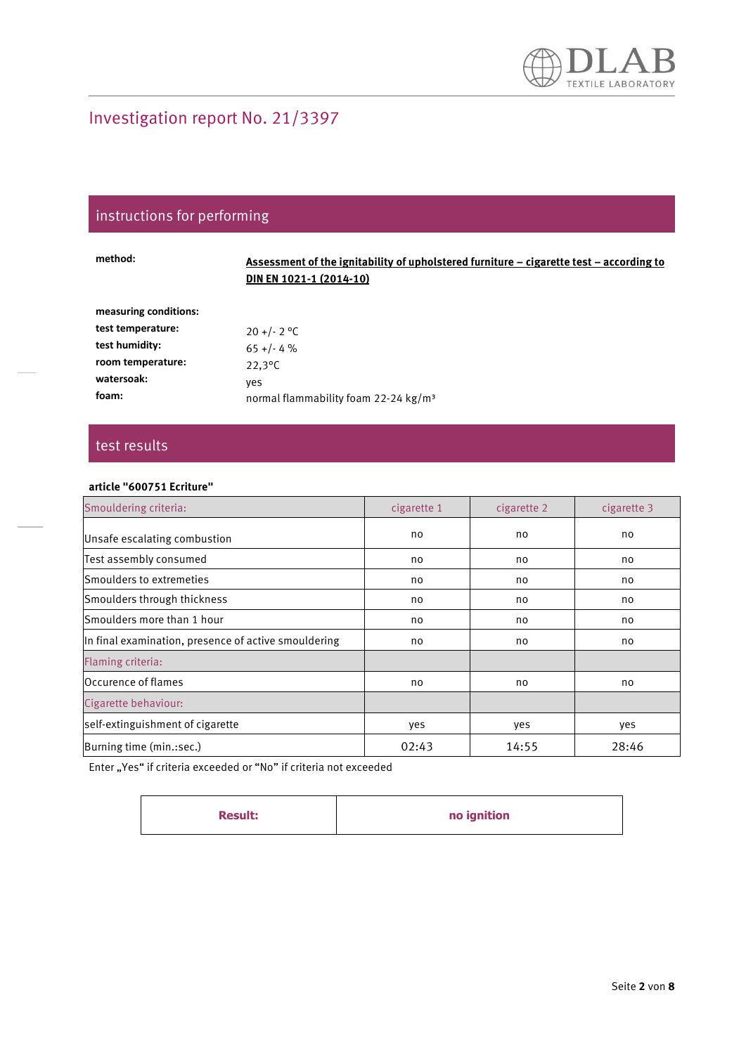# instructions for performing

| method:               | Assessment of the ignitability of upholstered furniture – cigarette test – according to<br><b>DIN EN 1021-1 (2014-10)</b> |
|-----------------------|---------------------------------------------------------------------------------------------------------------------------|
| measuring conditions: |                                                                                                                           |
| test temperature:     | $20 + (-2)$ °C                                                                                                            |
| test humidity:        | $65 + (-4\%$                                                                                                              |
| room temperature:     | $22.3^{\circ}$ C                                                                                                          |
| watersoak:            | ves                                                                                                                       |
| foam:                 | normal flammability foam 22-24 kg/m <sup>3</sup>                                                                          |
|                       |                                                                                                                           |

### test results

#### **article "600751 Ecriture"**

| Smouldering criteria:                                | cigarette 1 | cigarette 2 | cigarette 3 |
|------------------------------------------------------|-------------|-------------|-------------|
| Unsafe escalating combustion                         | no          | no          | no          |
| Test assembly consumed                               | no          | no          | no          |
| Smoulders to extremeties                             | no          | no          | no          |
| Smoulders through thickness                          | no          | no          | no          |
| Smoulders more than 1 hour                           | no          | no          | no          |
| In final examination, presence of active smouldering | no          | no          | no          |
| Flaming criteria:                                    |             |             |             |
| Occurence of flames                                  | no          | no          | no          |
| Cigarette behaviour:                                 |             |             |             |
| self-extinguishment of cigarette                     | yes         | yes         | yes         |
| Burning time (min.:sec.)                             | 02:43       | 14:55       | 28:46       |

| <b>Result:</b> | no ignition |
|----------------|-------------|
|----------------|-------------|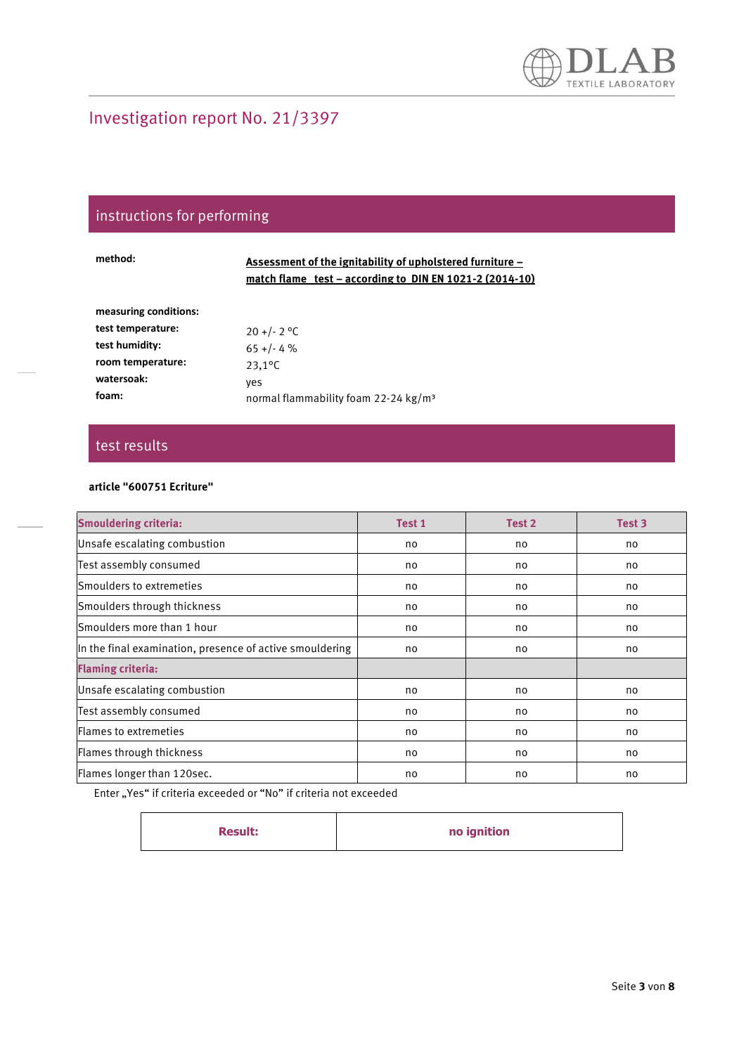# instructions for performing

| method:               | Assessment of the ignitability of upholstered furniture –<br>match flame test – according to DIN EN 1021-2 (2014-10) |
|-----------------------|----------------------------------------------------------------------------------------------------------------------|
| measuring conditions: |                                                                                                                      |
| test temperature:     | $20 + (-2)$ °C                                                                                                       |
| test humidity:        | $65 + (-4\%$                                                                                                         |
| room temperature:     | $23.1^{\circ}$ C                                                                                                     |
| watersoak:            | ves                                                                                                                  |
| foam:                 | normal flammability foam 22-24 kg/m <sup>3</sup>                                                                     |

### test results

#### **article "600751 Ecriture"**

| <b>Smouldering criteria:</b>                             | Test 1 | Test 2 | Test 3 |
|----------------------------------------------------------|--------|--------|--------|
| Unsafe escalating combustion                             | no     | no     | no     |
| Test assembly consumed                                   | no     | no     | no     |
| Smoulders to extremeties                                 | no     | no     | no     |
| Smoulders through thickness                              | no     | no     | no     |
| Smoulders more than 1 hour                               | no     | no     | no     |
| In the final examination, presence of active smouldering | no     | no     | no     |
| <b>Flaming criteria:</b>                                 |        |        |        |
| Unsafe escalating combustion                             | no     | no     | no     |
| Test assembly consumed                                   | no     | no     | no     |
| <b>IFlames to extremeties</b>                            | no     | no     | no     |
| Flames through thickness                                 | no     | no     | no     |
| Flames longer than 120sec.                               | no     | no     | no     |

| no ignition<br><b>Result:</b> |  |  |
|-------------------------------|--|--|
|-------------------------------|--|--|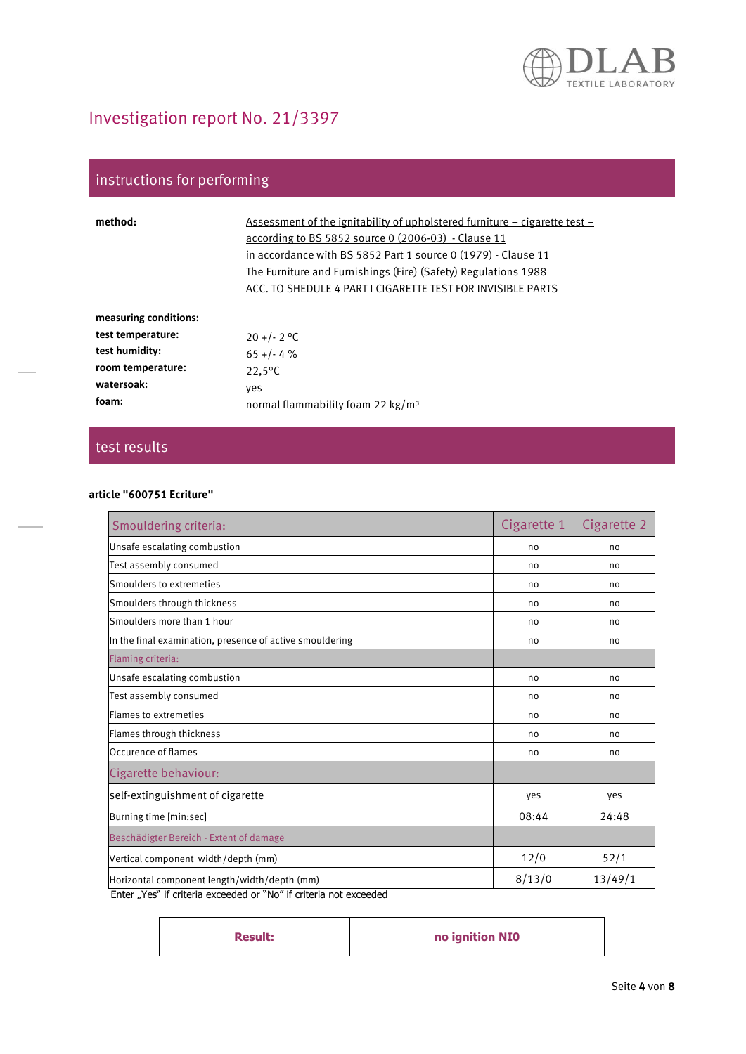# instructions for performing

| method:               | Assessment of the ignitability of upholstered furniture $-$ cigarette test $-$<br>according to BS 5852 source 0 (2006-03) - Clause 11<br>in accordance with BS 5852 Part 1 source 0 (1979) - Clause 11<br>The Furniture and Furnishings (Fire) (Safety) Regulations 1988<br>ACC. TO SHEDULE 4 PART I CIGARETTE TEST FOR INVISIBLE PARTS |
|-----------------------|-----------------------------------------------------------------------------------------------------------------------------------------------------------------------------------------------------------------------------------------------------------------------------------------------------------------------------------------|
| measuring conditions: |                                                                                                                                                                                                                                                                                                                                         |
| test temperature:     | $20 + (-2)$ °C                                                                                                                                                                                                                                                                                                                          |
| test humidity:        | $65 + (-4)$                                                                                                                                                                                                                                                                                                                             |
| room temperature:     | $22.5^{\circ}$ C                                                                                                                                                                                                                                                                                                                        |
| watersoak:            | yes                                                                                                                                                                                                                                                                                                                                     |
| foam:                 | normal flammability foam 22 $kg/m3$                                                                                                                                                                                                                                                                                                     |

### test results

#### **article "600751 Ecriture"**

| Smouldering criteria:                                    | Cigarette 1 | Cigarette 2 |
|----------------------------------------------------------|-------------|-------------|
| Unsafe escalating combustion                             | no          | no          |
| Test assembly consumed                                   | no          | no          |
| Smoulders to extremeties                                 | no          | no          |
| Smoulders through thickness                              | no          | no          |
| Smoulders more than 1 hour                               | no          | no          |
| In the final examination, presence of active smouldering | no          | no          |
| Flaming criteria:                                        |             |             |
| Unsafe escalating combustion                             | no          | no          |
| Test assembly consumed                                   | no          | no          |
| Flames to extremeties                                    | no          | no          |
| Flames through thickness                                 | no          | no          |
| Occurence of flames                                      | no          | no          |
| Cigarette behaviour:                                     |             |             |
| self-extinguishment of cigarette                         | yes         | yes         |
| Burning time [min:sec]                                   | 08:44       | 24:48       |
| Beschädigter Bereich - Extent of damage                  |             |             |
| Vertical component width/depth (mm)                      | 12/0        | 52/1        |
| Horizontal component length/width/depth (mm)             | 8/13/0      | 13/49/1     |

| <b>Result:</b> | no ignition NIO |
|----------------|-----------------|
|----------------|-----------------|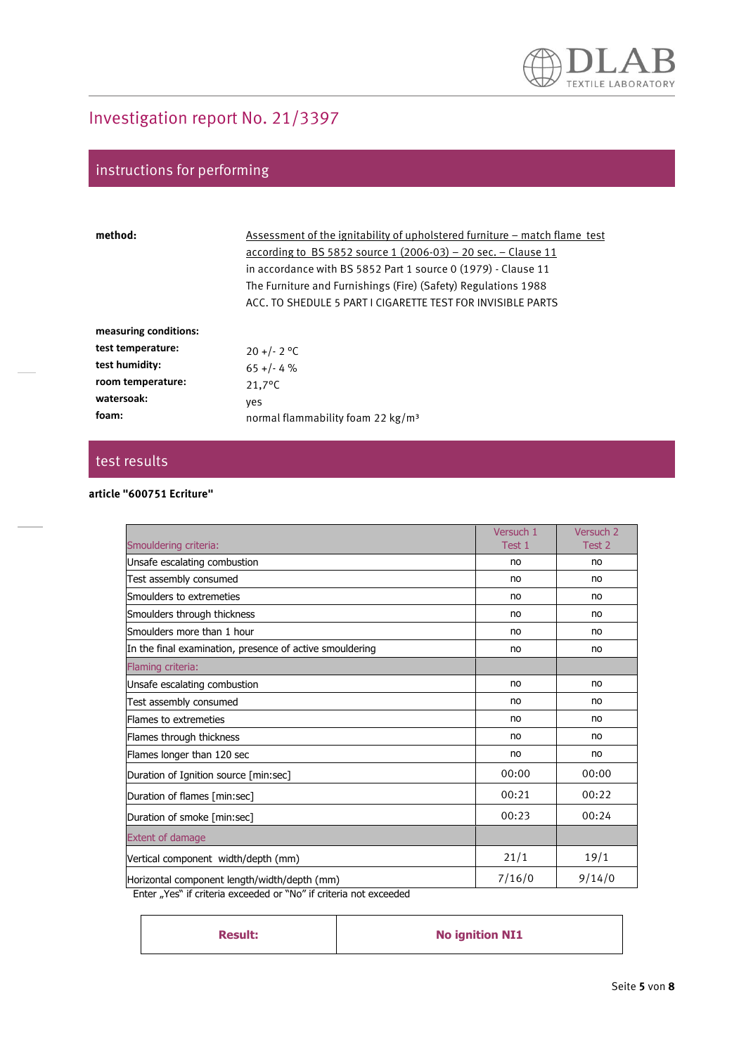## instructions for performing

| method:               | Assessment of the ignitability of upholstered furniture – match flame test<br>according to BS 5852 source 1 $(2006-03)$ – 20 sec. – Clause 11<br>in accordance with BS 5852 Part 1 source 0 (1979) - Clause 11<br>The Furniture and Furnishings (Fire) (Safety) Regulations 1988<br>ACC. TO SHEDULE 5 PART I CIGARETTE TEST FOR INVISIBLE PARTS |
|-----------------------|-------------------------------------------------------------------------------------------------------------------------------------------------------------------------------------------------------------------------------------------------------------------------------------------------------------------------------------------------|
| measuring conditions: |                                                                                                                                                                                                                                                                                                                                                 |
| test temperature:     | $20 + (-2)$ °C                                                                                                                                                                                                                                                                                                                                  |
| test humidity:        | $65 + (-4)$                                                                                                                                                                                                                                                                                                                                     |
| room temperature:     | $21.7^{\circ}$ C                                                                                                                                                                                                                                                                                                                                |
| watersoak:            | ves                                                                                                                                                                                                                                                                                                                                             |
| foam:                 | normal flammability foam 22 $kg/m3$                                                                                                                                                                                                                                                                                                             |

### test results

#### **article "600751 Ecriture"**

|        | Versuch <sub>2</sub> |
|--------|----------------------|
| Test 1 | Test 2               |
| no     | no                   |
| no     | no                   |
| no     | no                   |
| no     | no                   |
| no     | no                   |
| no     | no                   |
|        |                      |
| no     | no                   |
| no     | no                   |
| no     | no                   |
| no     | no                   |
| no     | no                   |
| 00:00  | 00:00                |
| 00:21  | 00:22                |
| 00:23  | 00:24                |
|        |                      |
| 21/1   | 19/1                 |
| 7/16/0 | 9/14/0               |
|        |                      |

| <b>Result:</b> | <b>No ignition NI1</b> |
|----------------|------------------------|
|                |                        |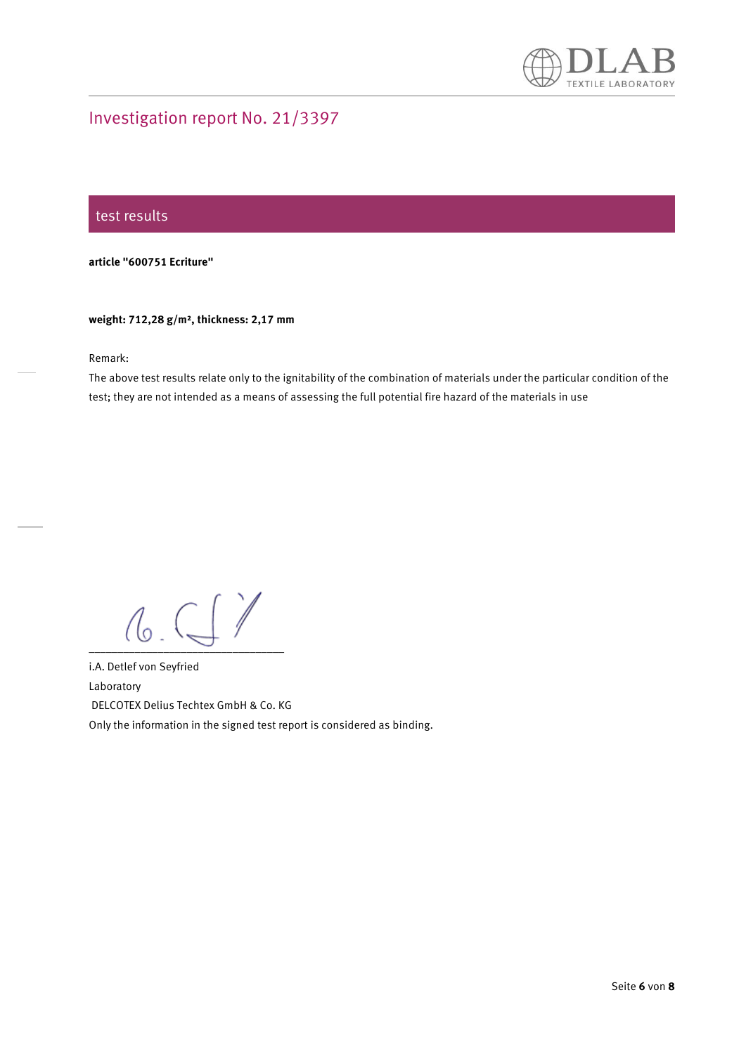

#### test results

**article "600751 Ecriture"** 

#### **weight: 712,28 g/m², thickness: 2,17 mm**

Remark:

The above test results relate only to the ignitability of the combination of materials under the particular condition of the test; they are not intended as a means of assessing the full potential fire hazard of the materials in use

 $0.9999$ 

i.A. Detlef von Seyfried Laboratory DELCOTEX Delius Techtex GmbH & Co. KG Only the information in the signed test report is considered as binding.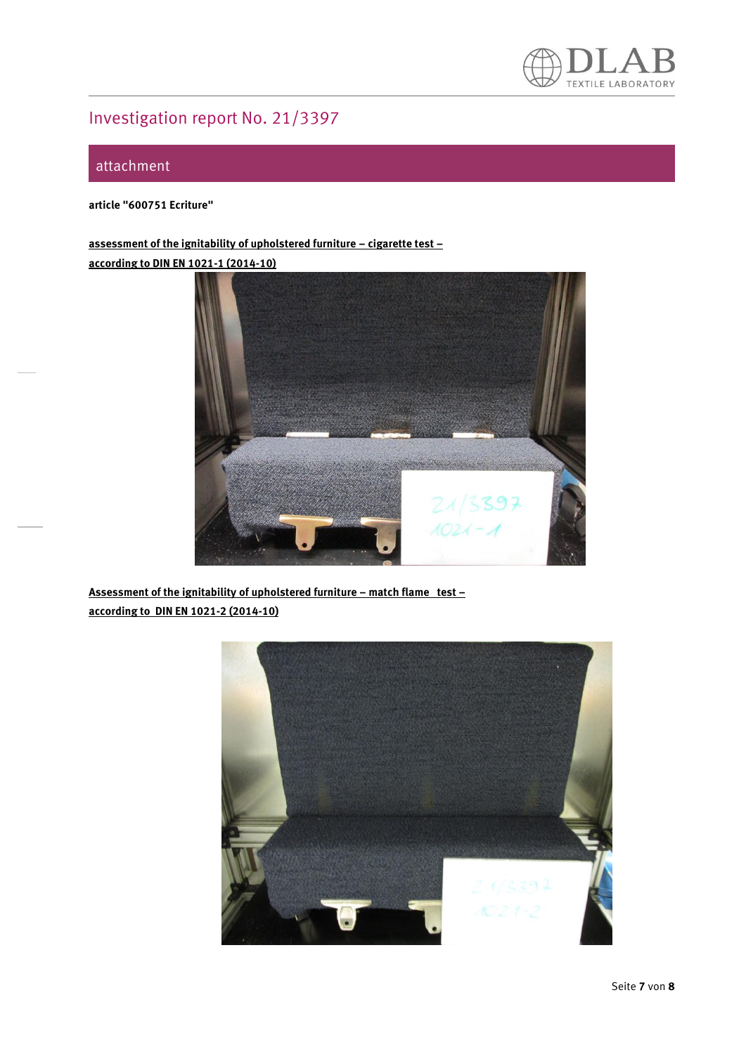

### attachment

**article "600751 Ecriture"** 

**assessment of the ignitability of upholstered furniture – cigarette test – according to DIN EN 1021-1 (2014-10)**



**Assessment of the ignitability of upholstered furniture – match flame test – according to DIN EN 1021-2 (2014-10)**